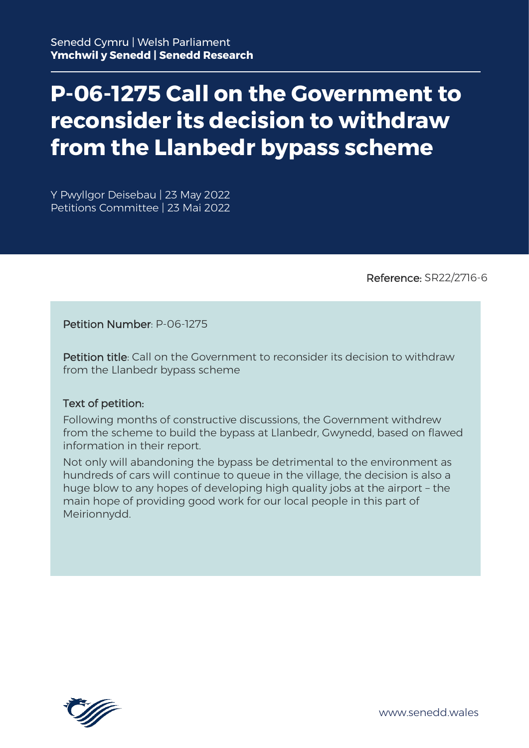# **P-06-1275 Call on the Government to reconsider its decision to withdraw from the Llanbedr bypass scheme**

Y Pwyllgor Deisebau | 23 May 2022 Petitions Committee | 23 Mai 2022

Reference: SR22/2716-6

Petition Number: P-06-1275

Petition title: Call on the Government to reconsider its decision to withdraw from the Llanbedr bypass scheme

#### Text of petition:

Following months of constructive discussions, the Government withdrew from the scheme to build the bypass at Llanbedr, Gwynedd, based on flawed information in their report.

Not only will abandoning the bypass be detrimental to the environment as hundreds of cars will continue to queue in the village, the decision is also a huge blow to any hopes of developing high quality jobs at the airport – the main hope of providing good work for our local people in this part of Meirionnydd.

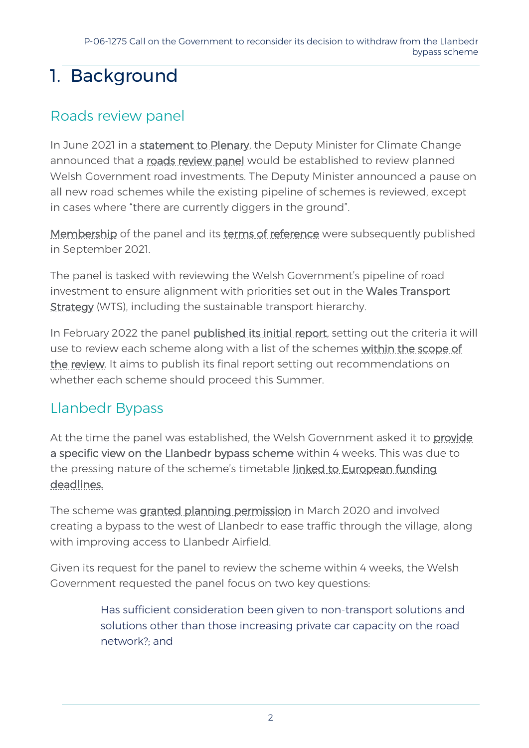## 1. Background

#### Roads review panel

In June 2021 in a [statement to Plenary,](https://record.assembly.wales/Plenary/12317#A66072) the Deputy Minister for Climate Change announced that a [roads review panel](https://gov.wales/roads-review-panel) would be established to review planned Welsh Government road investments. The Deputy Minister announced a pause on all new road schemes while the existing pipeline of schemes is reviewed, except in cases where "there are currently diggers in the ground".

[Membership](https://gov.wales/roads-review-panel/membership) of the panel and its [terms of reference](https://gov.wales/roads-review-panel/terms-reference) were subsequently published in September 2021.

The panel is tasked with reviewing the Welsh Government's pipeline of road investment to ensure alignment with priorities set out in the [Wales Transport](https://gov.wales/llwybr-newydd-wales-transport-strategy-2021)  [Strategy](https://gov.wales/llwybr-newydd-wales-transport-strategy-2021) (WTS), including the sustainable transport hierarchy.

In February 2022 the panel [published its initial report,](https://gov.wales/wales-roads-review-initial-panel-report-html) setting out the criteria it will use to review each scheme along with a list of the schemes [within the scope of](https://gov.wales/wales-roads-review-initial-panel-report-html#section-90300)  [the review.](https://gov.wales/wales-roads-review-initial-panel-report-html#section-90300) It aims to publish its final report setting out recommendations on whether each scheme should proceed this Summer.

### Llanbedr Bypass

At the time the panel was established, the Welsh Government asked it to provide [a specific view on the Llanbedr bypass scheme](https://gov.wales/roads-review-panel/terms-reference#section-79680) within 4 weeks. This was due to the pressing nature of the scheme's timetable [linked to European funding](https://record.senedd.wales/Plenary/12492#C385058)  [deadlines.](https://record.senedd.wales/Plenary/12492#C385058)

The scheme was [granted planning permission](https://www.bbc.co.uk/news/uk-wales-51738040) in March 2020 and involved creating a bypass to the west of Llanbedr to ease traffic through the village, along with improving access to Llanbedr Airfield.

Given its request for the panel to review the scheme within 4 weeks, the Welsh Government requested the panel focus on two key questions:

> Has sufficient consideration been given to non-transport solutions and solutions other than those increasing private car capacity on the road network?; and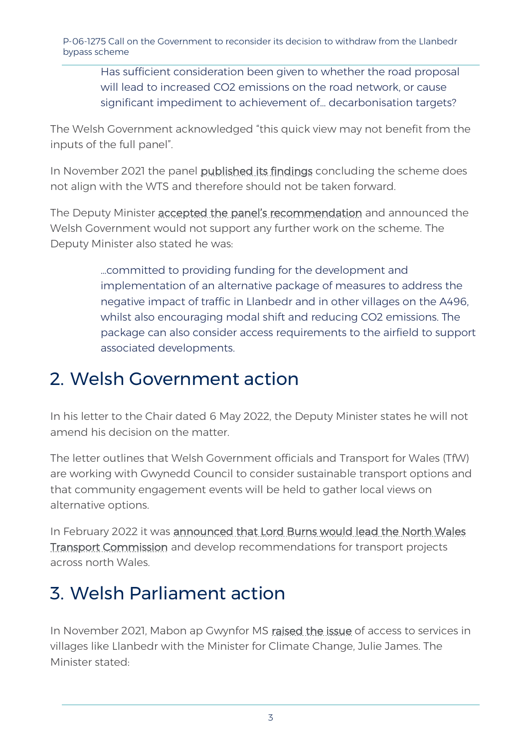P-06-1275 Call on the Government to reconsider its decision to withdraw from the Llanbedr bypass scheme

Has sufficient consideration been given to whether the road proposal will lead to increased CO2 emissions on the road network, or cause significant impediment to achievement of… decarbonisation targets?

The Welsh Government acknowledged "this quick view may not benefit from the inputs of the full panel".

In November 2021 the panel [published its findings](https://gov.wales/roads-review-panel-llanbedr-access-road-and-bypass-html) concluding the scheme does not align with the WTS and therefore should not be taken forward.

The Deputy Minister accepted the panel's [recommendation](https://gov.wales/written-statement-road-review-llanbedr-access-road) and announced the Welsh Government would not support any further work on the scheme. The Deputy Minister also stated he was:

> …committed to providing funding for the development and implementation of an alternative package of measures to address the negative impact of traffic in Llanbedr and in other villages on the A496, whilst also encouraging modal shift and reducing CO2 emissions. The package can also consider access requirements to the airfield to support associated developments.

### 2. Welsh Government action

In his letter to the Chair dated 6 May 2022, the Deputy Minister states he will not amend his decision on the matter.

The letter outlines that Welsh Government officials and Transport for Wales (TfW) are working with Gwynedd Council to consider sustainable transport options and that community engagement events will be held to gather local views on alternative options.

In February 2022 it was announced that Lord Burns would lead the North Wales [Transport Commission](https://gov.wales/lord-burns-lead-north-wales-transport-review) and develop recommendations for transport projects across north Wales.

### 3. Welsh Parliament action

In November 2021, Mabon ap Gwynfor MS [raised the issue](https://record.senedd.wales/Plenary/12491#C384335) of access to services in villages like Llanbedr with the Minister for Climate Change, Julie James. The Minister stated: